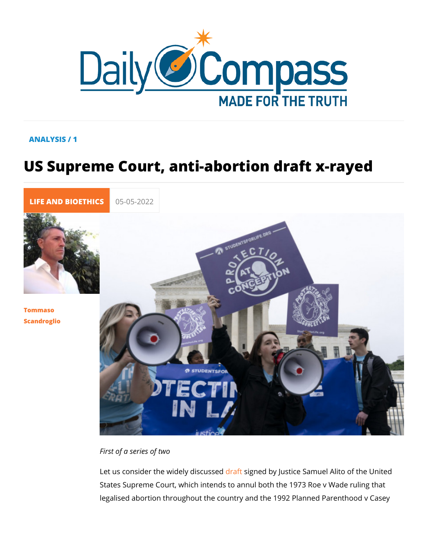## ANALYSIS / 1

# US Supreme Court, anti-abortion draft

[LIFE AND BIOE](https://newdailycompass.com/en/life-and-bioethics) 05-05-2022

[Tommas](/en/tommaso-scandroglio)o [Scandrog](/en/tommaso-scandroglio)lio

First of a series of two

Let us consider the widedyadssgrued ebdy Justice Samuel Alito of States Supreme Court, which intends to annul both the 1973 R legalised abortion throughout the country and the 1992 Planne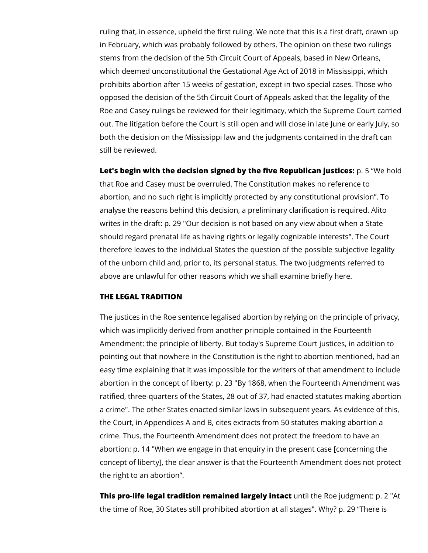ruling that, in essence, upheld the first ruling. We note that this is a first draft, drawn up in February, which was probably followed by others. The opinion on these two rulings stems from the decision of the 5th Circuit Court of Appeals, based in New Orleans, which deemed unconstitutional the Gestational Age Act of 2018 in Mississippi, which prohibits abortion after 15 weeks of gestation, except in two special cases. Those who opposed the decision of the 5th Circuit Court of Appeals asked that the legality of the Roe and Casey rulings be reviewed for their legitimacy, which the Supreme Court carried out. The litigation before the Court is still open and will close in late June or early July, so both the decision on the Mississippi law and the judgments contained in the draft can still be reviewed.

**Let's begin with the decision signed by the five Republican justices:** p. 5 "We hold that Roe and Casey must be overruled. The Constitution makes no reference to abortion, and no such right is implicitly protected by any constitutional provision". To analyse the reasons behind this decision, a preliminary clarification is required. Alito writes in the draft: p. 29 "Our decision is not based on any view about when a State should regard prenatal life as having rights or legally cognizable interests". The Court therefore leaves to the individual States the question of the possible subjective legality of the unborn child and, prior to, its personal status. The two judgments referred to above are unlawful for other reasons which we shall examine briefly here.

## **THE LEGAL TRADITION**

The justices in the Roe sentence legalised abortion by relying on the principle of privacy, which was implicitly derived from another principle contained in the Fourteenth Amendment: the principle of liberty. But today's Supreme Court justices, in addition to pointing out that nowhere in the Constitution is the right to abortion mentioned, had an easy time explaining that it was impossible for the writers of that amendment to include abortion in the concept of liberty: p. 23 "By 1868, when the Fourteenth Amendment was ratified, three-quarters of the States, 28 out of 37, had enacted statutes making abortion a crime". The other States enacted similar laws in subsequent years. As evidence of this, the Court, in Appendices A and B, cites extracts from 50 statutes making abortion a crime. Thus, the Fourteenth Amendment does not protect the freedom to have an abortion: p. 14 "When we engage in that enquiry in the present case [concerning the concept of liberty], the clear answer is that the Fourteenth Amendment does not protect the right to an abortion".

**This pro-life legal tradition remained largely intact** until the Roe judgment: p. 2 "At the time of Roe, 30 States still prohibited abortion at all stages". Why? p. 29 "There is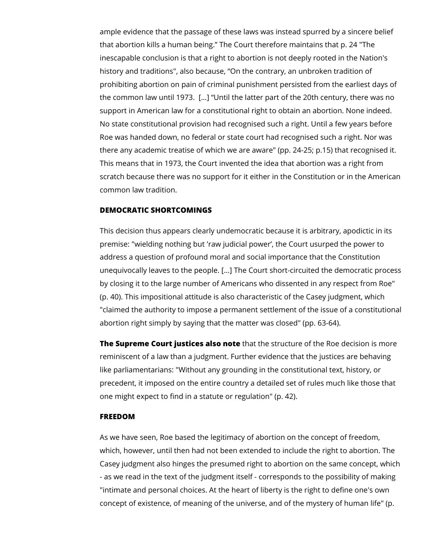ample evidence that the passage of these laws was instead spurred by a sincere belief that abortion kills a human being." The Court therefore maintains that p. 24 "The inescapable conclusion is that a right to abortion is not deeply rooted in the Nation's history and traditions", also because, "On the contrary, an unbroken tradition of prohibiting abortion on pain of criminal punishment persisted from the earliest days of the common law until 1973. […] "Until the latter part of the 20th century, there was no support in American law for a constitutional right to obtain an abortion. None indeed. No state constitutional provision had recognised such a right. Until a few years before Roe was handed down, no federal or state court had recognised such a right. Nor was there any academic treatise of which we are aware" (pp. 24-25; p.15) that recognised it. This means that in 1973, the Court invented the idea that abortion was a right from scratch because there was no support for it either in the Constitution or in the American common law tradition.

### **DEMOCRATIC SHORTCOMINGS**

This decision thus appears clearly undemocratic because it is arbitrary, apodictic in its premise: "wielding nothing but 'raw judicial power', the Court usurped the power to address a question of profound moral and social importance that the Constitution unequivocally leaves to the people. […] The Court short-circuited the democratic process by closing it to the large number of Americans who dissented in any respect from Roe" (p. 40). This impositional attitude is also characteristic of the Casey judgment, which "claimed the authority to impose a permanent settlement of the issue of a constitutional abortion right simply by saying that the matter was closed" (pp. 63-64).

**The Supreme Court justices also note** that the structure of the Roe decision is more reminiscent of a law than a judgment. Further evidence that the justices are behaving like parliamentarians: "Without any grounding in the constitutional text, history, or precedent, it imposed on the entire country a detailed set of rules much like those that one might expect to find in a statute or regulation" (p. 42).

### **FREEDOM**

As we have seen, Roe based the legitimacy of abortion on the concept of freedom, which, however, until then had not been extended to include the right to abortion. The Casey judgment also hinges the presumed right to abortion on the same concept, which - as we read in the text of the judgment itself - corresponds to the possibility of making "intimate and personal choices. At the heart of liberty is the right to define one's own concept of existence, of meaning of the universe, and of the mystery of human life" (p.